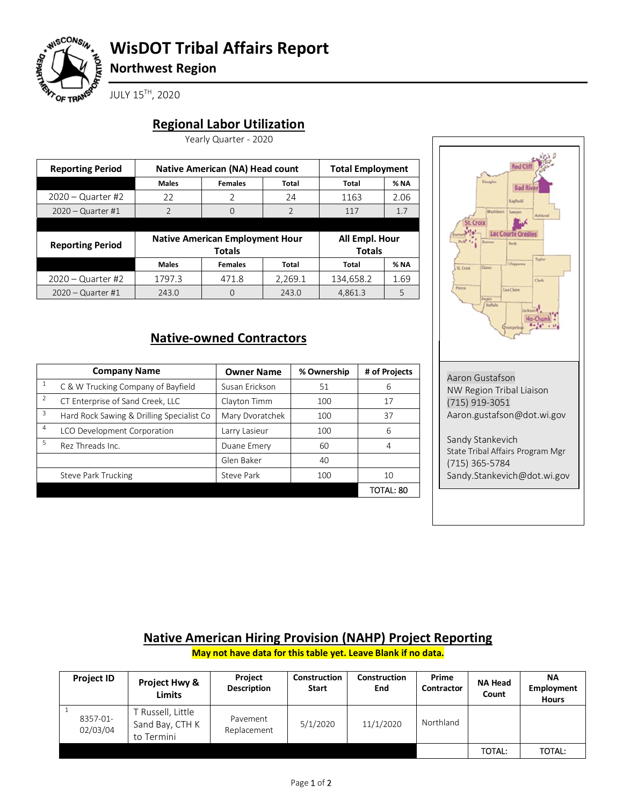

# **WisDOT Tribal Affairs Report**

**Northwest Region**

JULY 15TH, 2020

### **Regional Labor Utilization**

Yearly Quarter - 2020

| <b>Reporting Period</b> | <b>Native American (NA) Head count</b> |                                        |                | <b>Total Employment</b> |      |  |
|-------------------------|----------------------------------------|----------------------------------------|----------------|-------------------------|------|--|
|                         | <b>Males</b>                           | <b>Females</b>                         | Total          | Total                   | % NA |  |
| $2020 -$ Quarter #2     | 22                                     | V                                      | 24             | 1163                    | 2.06 |  |
| $2020 -$ Quarter #1     | $\mathcal{P}$                          | 0                                      | $\overline{2}$ | 117                     | 1.7  |  |
|                         |                                        |                                        |                |                         |      |  |
|                         |                                        |                                        |                |                         |      |  |
|                         |                                        | <b>Native American Employment Hour</b> |                | All Empl. Hour          |      |  |
| <b>Reporting Period</b> |                                        | <b>Totals</b>                          |                | <b>Totals</b>           |      |  |
|                         | <b>Males</b>                           | <b>Females</b>                         | Total          | Total                   | % NA |  |
| $2020 -$ Quarter #2     | 1797.3                                 | 471.8                                  | 2,269.1        | 134,658.2               | 1.69 |  |

## **Native-owned Contractors**

|                | <b>Company Name</b>                       | <b>Owner Name</b> | % Ownership | # of Projects |
|----------------|-------------------------------------------|-------------------|-------------|---------------|
|                | C & W Trucking Company of Bayfield        | Susan Erickson    | 51          | 6             |
| $\overline{2}$ | CT Enterprise of Sand Creek, LLC          | Clayton Timm      | 100         | 17            |
| 3              | Hard Rock Sawing & Drilling Specialist Co | Mary Dvoratchek   | 100         | 37            |
| 4              | LCO Development Corporation               | Larry Lasieur     | 100         | 6             |
| 5              | Rez Threads Inc.                          | Duane Emery       | 60          | 4             |
|                |                                           | Glen Baker        | 40          |               |
|                | <b>Steve Park Trucking</b>                | Steve Park        | 100         | 10            |
|                |                                           |                   |             | TOTAL: 80     |



Sandy.Stankevich@dot.wi.gov

#### **Native American Hiring Provision (NAHP) Project Reporting**

**May not have data for this table yet. Leave Blank if no data.**

| <b>Project ID</b>    | Project Hwy &<br><b>Limits</b>                     | Project<br><b>Description</b> | <b>Construction</b><br><b>Start</b> | Construction<br>End | Prime<br>Contractor | <b>NA Head</b><br>Count | <b>NA</b><br>Employment<br><b>Hours</b> |
|----------------------|----------------------------------------------------|-------------------------------|-------------------------------------|---------------------|---------------------|-------------------------|-----------------------------------------|
| 8357-01-<br>02/03/04 | í Russell, Little<br>Sand Bay, CTH K<br>to Termini | Pavement<br>Replacement       | 5/1/2020                            | 11/1/2020           | Northland           |                         |                                         |
|                      |                                                    |                               |                                     |                     |                     | TOTAL:                  | <b>TOTAL:</b>                           |